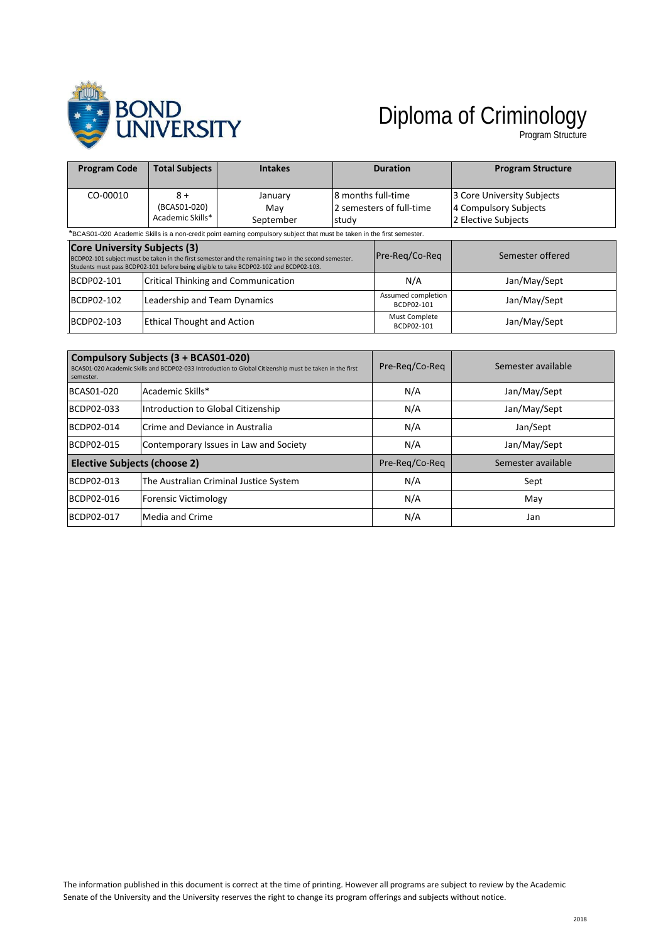

## Diploma of Criminology

Program Structure

| <b>Program Code</b>                                                                                                    | <b>Total Subjects</b>                    | <b>Intakes</b>                                                                                                                                                                                 |                                                         | <b>Duration</b>                  | <b>Program Structure</b>                                                   |
|------------------------------------------------------------------------------------------------------------------------|------------------------------------------|------------------------------------------------------------------------------------------------------------------------------------------------------------------------------------------------|---------------------------------------------------------|----------------------------------|----------------------------------------------------------------------------|
| CO-00010                                                                                                               | $8+$<br>(BCAS01-020)<br>Academic Skills* | January<br>Mav<br>September                                                                                                                                                                    | 8 months full-time<br>2 semesters of full-time<br>study |                                  | 3 Core University Subjects<br>4 Compulsory Subjects<br>2 Elective Subjects |
| *BCAS01-020 Academic Skills is a non-credit point earning compulsory subject that must be taken in the first semester. |                                          |                                                                                                                                                                                                |                                                         |                                  |                                                                            |
| <b>Core University Subjects (3)</b>                                                                                    |                                          | BCDP02-101 subject must be taken in the first semester and the remaining two in the second semester.<br>Students must pass BCDP02-101 before being eligible to take BCDP02-102 and BCDP02-103. |                                                         | Pre-Reg/Co-Reg                   | Semester offered                                                           |
| BCDP02-101                                                                                                             |                                          | <b>Critical Thinking and Communication</b>                                                                                                                                                     |                                                         | N/A                              | Jan/May/Sept                                                               |
| BCDP02-102                                                                                                             | Leadership and Team Dynamics             |                                                                                                                                                                                                |                                                         | Assumed completion<br>BCDP02-101 | Jan/May/Sept                                                               |
| BCDP02-103                                                                                                             | <b>Ethical Thought and Action</b>        |                                                                                                                                                                                                | Must Complete<br>BCDP02-101                             | Jan/May/Sept                     |                                                                            |

| semester.                    | Compulsory Subjects (3 + BCAS01-020)<br>BCAS01-020 Academic Skills and BCDP02-033 Introduction to Global Citizenship must be taken in the first | Pre-Reg/Co-Reg | Semester available |
|------------------------------|-------------------------------------------------------------------------------------------------------------------------------------------------|----------------|--------------------|
| BCAS01-020                   | Academic Skills*                                                                                                                                | N/A            | Jan/May/Sept       |
| BCDP02-033                   | Introduction to Global Citizenship                                                                                                              | N/A            | Jan/May/Sept       |
| BCDP02-014                   | Crime and Deviance in Australia                                                                                                                 | N/A            | Jan/Sept           |
| BCDP02-015                   | Contemporary Issues in Law and Society                                                                                                          | N/A            | Jan/May/Sept       |
| Elective Subjects (choose 2) |                                                                                                                                                 | Pre-Reg/Co-Reg | Semester available |
| BCDP02-013                   | The Australian Criminal Justice System                                                                                                          | N/A            | Sept               |
| BCDP02-016                   | <b>Forensic Victimology</b>                                                                                                                     | N/A            | May                |
| BCDP02-017                   | Media and Crime                                                                                                                                 | N/A            | Jan                |